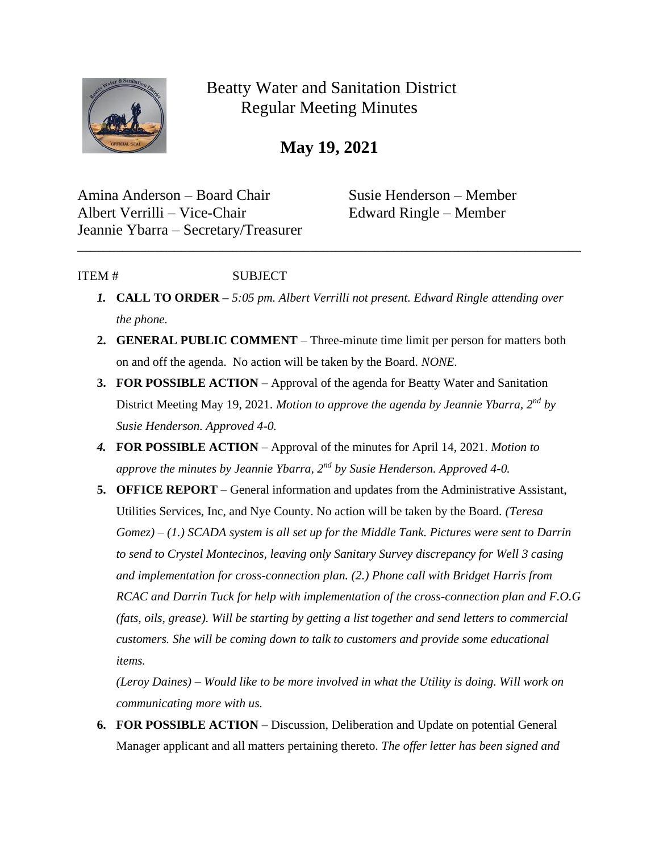

Beatty Water and Sanitation District Regular Meeting Minutes

**May 19, 2021**

Amina Anderson – Board Chair Susie Henderson – Member Albert Verrilli – Vice-Chair Edward Ringle – Member Jeannie Ybarra – Secretary/Treasurer

## ITEM # SUBJECT

*1.* **CALL TO ORDER –** *5:05 pm. Albert Verrilli not present. Edward Ringle attending over the phone.* 

\_\_\_\_\_\_\_\_\_\_\_\_\_\_\_\_\_\_\_\_\_\_\_\_\_\_\_\_\_\_\_\_\_\_\_\_\_\_\_\_\_\_\_\_\_\_\_\_\_\_\_\_\_\_\_\_\_\_\_\_\_\_\_\_\_\_\_\_\_\_\_\_\_\_\_\_\_\_

- **2. GENERAL PUBLIC COMMENT** Three-minute time limit per person for matters both on and off the agenda. No action will be taken by the Board. *NONE.*
- **3. FOR POSSIBLE ACTION** Approval of the agenda for Beatty Water and Sanitation District Meeting May 19, 2021. *Motion to approve the agenda by Jeannie Ybarra, 2nd by Susie Henderson. Approved 4-0.*
- *4.* **FOR POSSIBLE ACTION**  Approval of the minutes for April 14, 2021. *Motion to approve the minutes by Jeannie Ybarra, 2nd by Susie Henderson. Approved 4-0.*
- **5. OFFICE REPORT**  General information and updates from the Administrative Assistant, Utilities Services, Inc, and Nye County. No action will be taken by the Board. *(Teresa Gomez) – (1.) SCADA system is all set up for the Middle Tank. Pictures were sent to Darrin to send to Crystel Montecinos, leaving only Sanitary Survey discrepancy for Well 3 casing and implementation for cross-connection plan. (2.) Phone call with Bridget Harris from RCAC and Darrin Tuck for help with implementation of the cross-connection plan and F.O.G (fats, oils, grease). Will be starting by getting a list together and send letters to commercial customers. She will be coming down to talk to customers and provide some educational items.*

*(Leroy Daines) – Would like to be more involved in what the Utility is doing. Will work on communicating more with us.* 

**6. FOR POSSIBLE ACTION** – Discussion, Deliberation and Update on potential General Manager applicant and all matters pertaining thereto. *The offer letter has been signed and*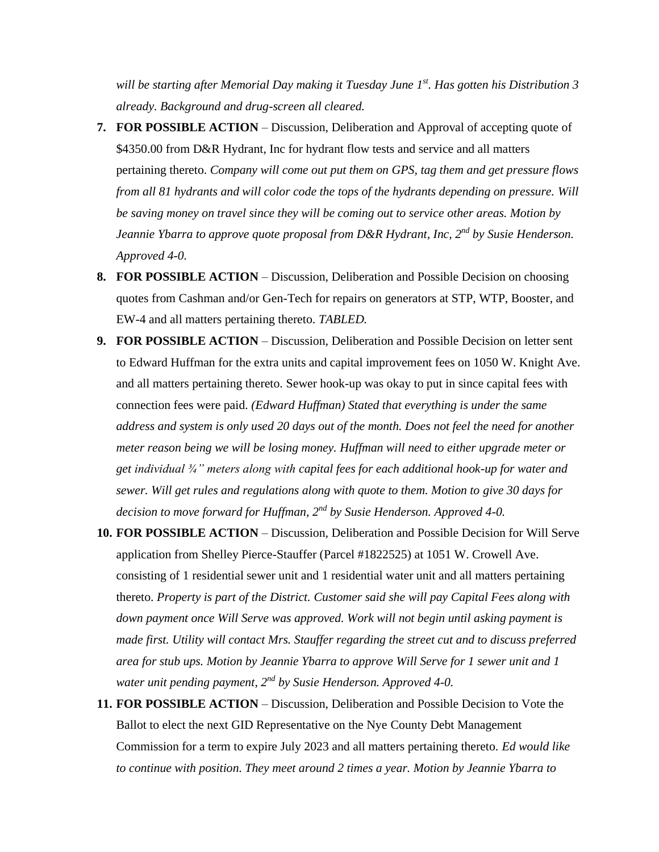*will be starting after Memorial Day making it Tuesday June 1st. Has gotten his Distribution 3 already. Background and drug-screen all cleared.* 

- **7. FOR POSSIBLE ACTION** Discussion, Deliberation and Approval of accepting quote of \$4350.00 from D&R Hydrant, Inc for hydrant flow tests and service and all matters pertaining thereto. *Company will come out put them on GPS, tag them and get pressure flows from all 81 hydrants and will color code the tops of the hydrants depending on pressure. Will be saving money on travel since they will be coming out to service other areas. Motion by Jeannie Ybarra to approve quote proposal from D&R Hydrant, Inc, 2nd by Susie Henderson. Approved 4-0.*
- **8. FOR POSSIBLE ACTION** Discussion, Deliberation and Possible Decision on choosing quotes from Cashman and/or Gen-Tech for repairs on generators at STP, WTP, Booster, and EW-4 and all matters pertaining thereto. *TABLED.*
- **9. FOR POSSIBLE ACTION** Discussion, Deliberation and Possible Decision on letter sent to Edward Huffman for the extra units and capital improvement fees on 1050 W. Knight Ave. and all matters pertaining thereto. Sewer hook-up was okay to put in since capital fees with connection fees were paid. *(Edward Huffman) Stated that everything is under the same address and system is only used 20 days out of the month. Does not feel the need for another meter reason being we will be losing money. Huffman will need to either upgrade meter or get individual ¾" meters along with capital fees for each additional hook-up for water and sewer. Will get rules and regulations along with quote to them. Motion to give 30 days for decision to move forward for Huffman, 2nd by Susie Henderson. Approved 4-0.*
- **10. FOR POSSIBLE ACTION** Discussion, Deliberation and Possible Decision for Will Serve application from Shelley Pierce-Stauffer (Parcel #1822525) at 1051 W. Crowell Ave. consisting of 1 residential sewer unit and 1 residential water unit and all matters pertaining thereto. *Property is part of the District. Customer said she will pay Capital Fees along with down payment once Will Serve was approved. Work will not begin until asking payment is made first. Utility will contact Mrs. Stauffer regarding the street cut and to discuss preferred area for stub ups. Motion by Jeannie Ybarra to approve Will Serve for 1 sewer unit and 1 water unit pending payment, 2nd by Susie Henderson. Approved 4-0.*
- **11. FOR POSSIBLE ACTION** Discussion, Deliberation and Possible Decision to Vote the Ballot to elect the next GID Representative on the Nye County Debt Management Commission for a term to expire July 2023 and all matters pertaining thereto. *Ed would like to continue with position. They meet around 2 times a year. Motion by Jeannie Ybarra to*